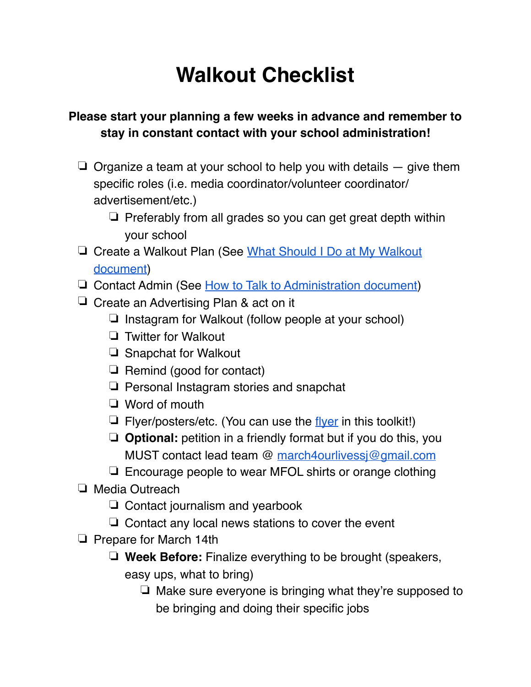## **Walkout Checklist**

## **Please start your planning a few weeks in advance and remember to stay in constant contact with your school administration!**

- $\Box$  Organize a team at your school to help you with details  $-$  give them specific roles (i.e. media coordinator/volunteer coordinator/ advertisement/etc.)
	- ❏ Preferably from all grades so you can get great depth within your school
- ❏ Create a Walkout Plan (See [What Should I Do at My Walkout](https://docs.google.com/document/d/16AKJfAQ-WX2ZQLgvXz5gYqn6_rj80W_76nXMo-SUPRk/edit?usp=sharing)  [document](https://docs.google.com/document/d/16AKJfAQ-WX2ZQLgvXz5gYqn6_rj80W_76nXMo-SUPRk/edit?usp=sharing))
- ❏ Contact Admin (See [How to Talk to Administration document](https://docs.google.com/document/d/1e_pbwWJFAXN86BfufOwFmwn8E2_jmxw-2c6x8mRvJNA/edit?usp=sharing))
- ❏ Create an Advertising Plan & act on it
	- ❏ Instagram for Walkout (follow people at your school)
	- ❏ Twitter for Walkout
	- ❏ Snapchat for Walkout
	- ❏ Remind (good for contact)
	- ❏ Personal Instagram stories and snapchat
	- ❏ Word of mouth
	- $\Box$  Flyer/posters/etc. (You can use the [flyer](https://drive.google.com/open?id=1UAXXrMRJAfa_KX8UO6D2AJ5_BUTuiGIS) in this toolkit!)
	- ❏ **Optional:** petition in a friendly format but if you do this, you MUST contact lead team @ [march4ourlivessj@gmail.com](mailto:march4ourlivessj@gmail.com)
	- ❏ Encourage people to wear MFOL shirts or orange clothing
- ❏ Media Outreach
	- ❏ Contact journalism and yearbook
	- ❏ Contact any local news stations to cover the event
- ❏ Prepare for March 14th
	- ❏ **Week Before:** Finalize everything to be brought (speakers, easy ups, what to bring)
		- ❏ Make sure everyone is bringing what they're supposed to be bringing and doing their specific jobs